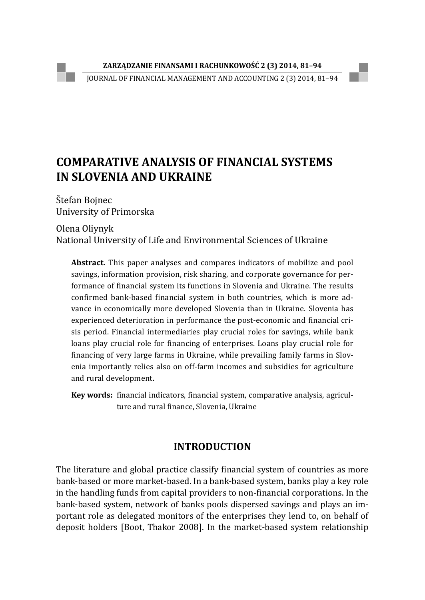JOURNAL OF FINANCIAL MANAGEMENT AND ACCOUNTING 2 (3) 2014, 81–94

# **COMPARATIVE ANALYSIS OF FINANCIAL SYSTEMS IN SLOVENIA AND UKRAINE**

Štefan Bojnec University of Primorska

Olena Oliynyk National University of Life and Environmental Sciences of Ukraine

**Abstract.** This paper analyses and compares indicators of mobilize and pool savings, information provision, risk sharing, and corporate governance for performance of financial system its functions in Slovenia and Ukraine. The results confirmed bank-based financial system in both countries, which is more advance in economically more developed Slovenia than in Ukraine. Slovenia has experienced deterioration in performance the post-economic and financial crisis period. Financial intermediaries play crucial roles for savings, while bank loans play crucial role for financing of enterprises. Loans play crucial role for financing of very large farms in Ukraine, while prevailing family farms in Slovenia importantly relies also on off-farm incomes and subsidies for agriculture and rural development.

**Key words:** financial indicators, financial system, comparative analysis, agriculture and rural finance, Slovenia, Ukraine

## **INTRODUCTION**

The literature and global practice classify financial system of countries as more bank-based or more market-based. In a bank-based system, banks play a key role in the handling funds from capital providers to non-financial corporations. In the bank-based system, network of banks pools dispersed savings and plays an important role as delegated monitors of the enterprises they lend to, on behalf of deposit holders [Boot, Thakor 2008]. In the market-based system relationship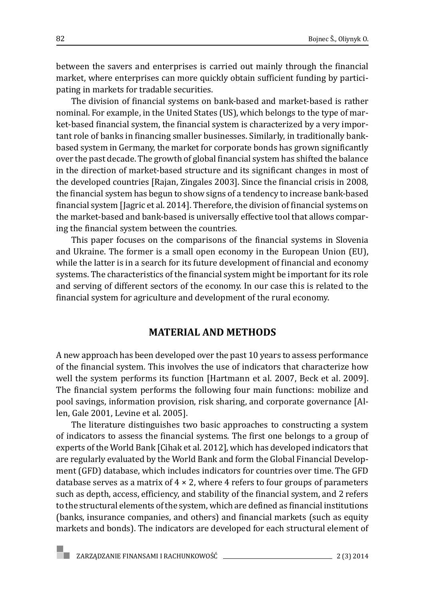between the savers and enterprises is carried out mainly through the financial market, where enterprises can more quickly obtain sufficient funding by participating in markets for tradable securities.

The division of financial systems on bank-based and market-based is rather nominal. For example, in the United States (US), which belongs to the type of market-based financial system, the financial system is characterized by a very important role of banks in financing smaller businesses. Similarly, in traditionally bankbased system in Germany, the market for corporate bonds has grown significantly over the past decade. The growth of global financial system has shifted the balance in the direction of market-based structure and its significant changes in most of the developed countries [Rajan, Zingales 2003]. Since the financial crisis in 2008, the financial system has begun to show signs of a tendency to increase bank-based financial system [Jagric et al. 2014]. Therefore, the division of financial systems on the market-based and bank-based is universally effective tool that allows comparing the financial system between the countries.

This paper focuses on the comparisons of the financial systems in Slovenia and Ukraine. The former is a small open economy in the European Union (EU), while the latter is in a search for its future development of financial and economy systems. The characteristics of the financial system might be important for its role and serving of different sectors of the economy. In our case this is related to the financial system for agriculture and development of the rural economy.

#### **MATERIAL AND METHODS**

A new approach has been developed over the past 10 years to assess performance of the financial system. This involves the use of indicators that characterize how well the system performs its function [Hartmann et al. 2007, Beck et al. 2009]. The financial system performs the following four main functions: mobilize and pool savings, information provision, risk sharing, and corporate governance [Allen, Gale 2001, Levine et al. 2005].

The literature distinguishes two basic approaches to constructing a system of indicators to assess the financial systems. The first one belongs to a group of experts of the World Bank [Cihak et al. 2012], which has developed indicators that are regularly evaluated by the World Bank and form the Global Financial Development (GFD) database, which includes indicators for countries over time. The GFD database serves as a matrix of  $4 \times 2$ , where 4 refers to four groups of parameters such as depth, access, efficiency, and stability of the financial system, and 2 refers to the structural elements of the system, which are defined as financial institutions (banks, insurance companies, and others) and financial markets (such as equity markets and bonds). The indicators are developed for each structural element of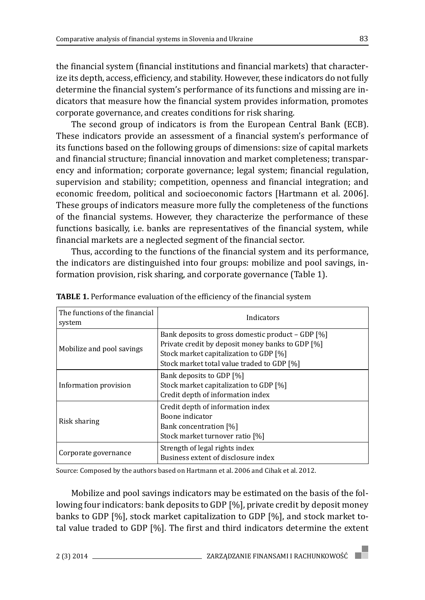the financial system (financial institutions and financial markets) that characterize its depth, access, efficiency, and stability. However, these indicators do not fully determine the financial system's performance of its functions and missing are indicators that measure how the financial system provides information, promotes corporate governance, and creates conditions for risk sharing.

The second group of indicators is from the European Central Bank (ECB). These indicators provide an assessment of a financial system's performance of its functions based on the following groups of dimensions: size of capital markets and financial structure; financial innovation and market completeness; transparency and information; corporate governance; legal system; financial regulation, supervision and stability; competition, openness and financial integration; and economic freedom, political and socioeconomic factors [Hartmann et al. 2006]. These groups of indicators measure more fully the completeness of the functions of the financial systems. However, they characterize the performance of these functions basically, i.e. banks are representatives of the financial system, while financial markets are a neglected segment of the financial sector.

Thus, according to the functions of the financial system and its performance, the indicators are distinguished into four groups: mobilize and pool savings, information provision, risk sharing, and corporate governance (Table 1).

| The functions of the financial<br>system | Indicators                                                                                                                                                                                    |
|------------------------------------------|-----------------------------------------------------------------------------------------------------------------------------------------------------------------------------------------------|
| Mobilize and pool savings                | Bank deposits to gross domestic product – GDP [%]<br>Private credit by deposit money banks to GDP [%]<br>Stock market capitalization to GDP [%]<br>Stock market total value traded to GDP [%] |
| Information provision                    | Bank deposits to GDP [%]<br>Stock market capitalization to GDP [%]<br>Credit depth of information index                                                                                       |
| Risk sharing                             | Credit depth of information index<br>Boone indicator<br>Bank concentration [%]<br>Stock market turnover ratio [%]                                                                             |
| Corporate governance                     | Strength of legal rights index<br>Business extent of disclosure index                                                                                                                         |

**TABLE 1.** Performance evaluation of the efficiency of the financial system

Source: Composed by the authors based on Hartmann et al. 2006 and Cihak et al. 2012.

Mobilize and pool savings indicators may be estimated on the basis of the following four indicators: bank deposits to GDP [%], private credit by deposit money banks to GDP [%], stock market capitalization to GDP [%], and stock market total value traded to GDP [%]. The first and third indicators determine the extent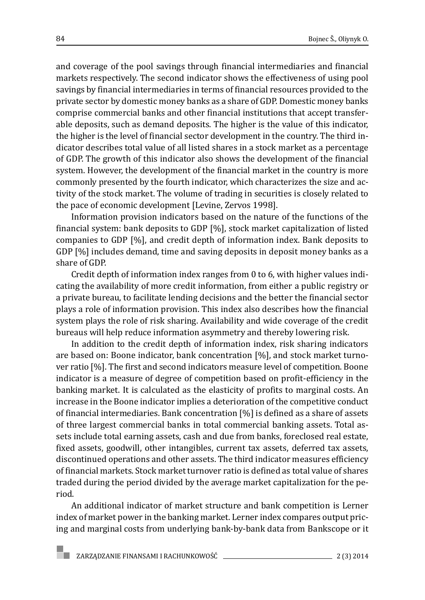and coverage of the pool savings through financial intermediaries and financial markets respectively. The second indicator shows the effectiveness of using pool savings by financial intermediaries in terms of financial resources provided to the private sector by domestic money banks as a share of GDP. Domestic money banks comprise commercial banks and other financial institutions that accept transferable deposits, such as demand deposits. The higher is the value of this indicator, the higher is the level of financial sector development in the country. The third indicator describes total value of all listed shares in a stock market as a percentage of GDP. The growth of this indicator also shows the development of the financial system. However, the development of the financial market in the country is more commonly presented by the fourth indicator, which characterizes the size and activity of the stock market. The volume of trading in securities is closely related to the pace of economic development [Levine, Zervos 1998].

Information provision indicators based on the nature of the functions of the financial system: bank deposits to GDP [%], stock market capitalization of listed companies to GDP [%], and credit depth of information index. Bank deposits to GDP [%] includes demand, time and saving deposits in deposit money banks as a share of GDP.

Credit depth of information index ranges from 0 to 6, with higher values indicating the availability of more credit information, from either a public registry or a private bureau, to facilitate lending decisions and the better the financial sector plays a role of information provision. This index also describes how the financial system plays the role of risk sharing. Availability and wide coverage of the credit bureaus will help reduce information asymmetry and thereby lowering risk.

In addition to the credit depth of information index, risk sharing indicators are based on: Boone indicator, bank concentration [%], and stock market turnover ratio [%]. The first and second indicators measure level of competition. Boone indicator is a measure of degree of competition based on profit-efficiency in the banking market. It is calculated as the elasticity of profits to marginal costs. An increase in the Boone indicator implies a deterioration of the competitive conduct of financial intermediaries. Bank concentration [%] is defined as a share of assets of three largest commercial banks in total commercial banking assets. Total assets include total earning assets, cash and due from banks, foreclosed real estate, fixed assets, goodwill, other intangibles, current tax assets, deferred tax assets, discontinued operations and other assets. The third indicator measures efficiency of financial markets. Stock market turnover ratio is defined as total value of shares traded during the period divided by the average market capitalization for the period.

An additional indicator of market structure and bank competition is Lerner index of market power in the banking market. Lerner index compares output pricing and marginal costs from underlying bank-by-bank data from Bankscope or it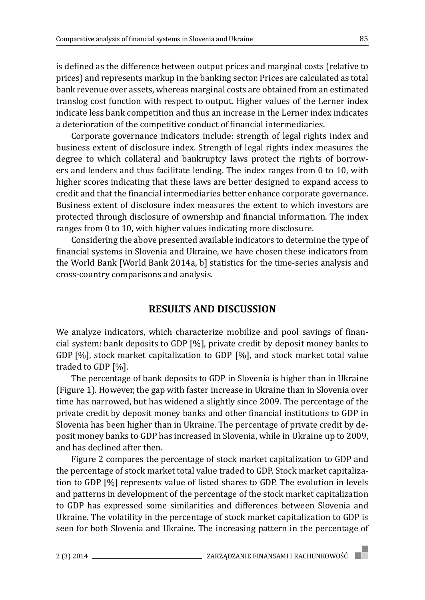is defined as the difference between output prices and marginal costs (relative to prices) and represents markup in the banking sector. Prices are calculated as total bank revenue over assets, whereas marginal costs are obtained from an estimated translog cost function with respect to output. Higher values of the Lerner index indicate less bank competition and thus an increase in the Lerner index indicates a deterioration of the competitive conduct of financial intermediaries.

Corporate governance indicators include: strength of legal rights index and business extent of disclosure index. Strength of legal rights index measures the degree to which collateral and bankruptcy laws protect the rights of borrowers and lenders and thus facilitate lending. The index ranges from 0 to 10, with higher scores indicating that these laws are better designed to expand access to credit and that the financial intermediaries better enhance corporate governance. Business extent of disclosure index measures the extent to which investors are protected through disclosure of ownership and financial information. The index ranges from 0 to 10, with higher values indicating more disclosure.

Considering the above presented available indicators to determine the type of financial systems in Slovenia and Ukraine, we have chosen these indicators from the World Bank [World Bank 2014a, b] statistics for the time-series analysis and cross-country comparisons and analysis.

### **RESULTS AND DISCUSSION**

We analyze indicators, which characterize mobilize and pool savings of financial system: bank deposits to GDP [%], private credit by deposit money banks to GDP [%], stock market capitalization to GDP [%], and stock market total value traded to GDP [%].

The percentage of bank deposits to GDP in Slovenia is higher than in Ukraine (Figure 1). However, the gap with faster increase in Ukraine than in Slovenia over time has narrowed, but has widened a slightly since 2009. The percentage of the private credit by deposit money banks and other financial institutions to GDP in Slovenia has been higher than in Ukraine. The percentage of private credit by deposit money banks to GDP has increased in Slovenia, while in Ukraine up to 2009, and has declined after then.

Figure 2 compares the percentage of stock market capitalization to GDP and the percentage of stock market total value traded to GDP. Stock market capitalization to GDP [%] represents value of listed shares to GDP. The evolution in levels and patterns in development of the percentage of the stock market capitalization to GDP has expressed some similarities and differences between Slovenia and Ukraine. The volatility in the percentage of stock market capitalization to GDP is seen for both Slovenia and Ukraine. The increasing pattern in the percentage of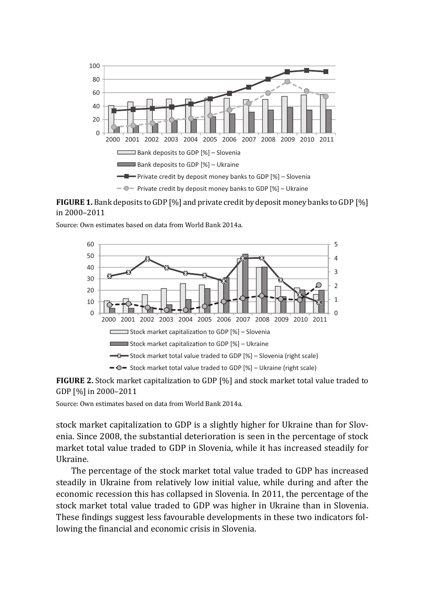

**FIGURE 1.** Bank deposits to GDP [%] and private credit by deposit money banks to GDP [%] in 2000–2011

Source: Own estimates based on data from World Bank 2014a.





Source: Own estimates based on data from World Bank 2014a.

stock market capitalization to GDP is a slightly higher for Ukraine than for Slovenia. Since 2008, the substantial deterioration is seen in the percentage of stock market total value traded to GDP in Slovenia, while it has increased steadily for Ukraine.

The percentage of the stock market total value traded to GDP has increased steadily in Ukraine from relatively low initial value, while during and after the economic recession this has collapsed in Slovenia. In 2011, the percentage of the stock market total value traded to GDP was higher in Ukraine than in Slovenia. These findings suggest less favourable developments in these two indicators following the financial and economic crisis in Slovenia.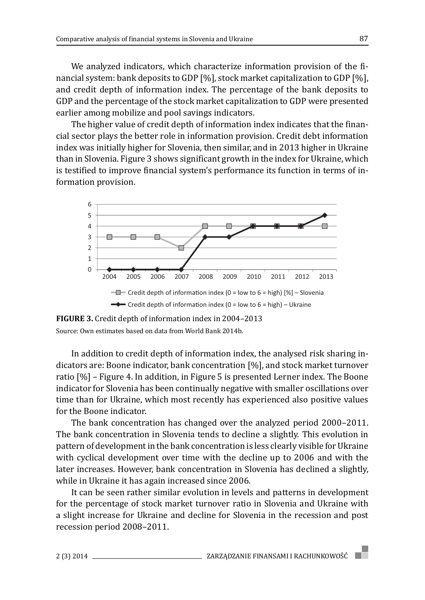We analyzed indicators, which characterize information provision of the financial system: bank deposits to GDP [%], stock market capitalization to GDP [%], and credit depth of information index. The percentage of the bank deposits to GDP and the percentage of the stock market capitalization to GDP were presented earlier among mobilize and pool savings indicators.

The higher value of credit depth of information index indicates that the financial sector plays the better role in information provision. Credit debt information index was initially higher for Slovenia, then similar, and in 2013 higher in Ukraine than in Slovenia. Figure 3 shows significant growth in the index for Ukraine, which is testified to improve financial system's performance its function in terms of information provision.



**FIGURE 3.** Credit depth of information index in 2004–2013 Source: Own estimates based on data from World Bank 2014b.

In addition to credit depth of information index, the analysed risk sharing indicators are: Boone indicator, bank concentration [%], and stock market turnover ratio [%] – Figure 4. In addition, in Figure 5 is presented Lerner index. The Boone indicator for Slovenia has been continually negative with smaller oscillations over time than for Ukraine, which most recently has experienced also positive values for the Boone indicator.

The bank concentration has changed over the analyzed period 2000–2011. The bank concentration in Slovenia tends to decline a slightly. This evolution in pattern of development in the bank concentration is less clearly visible for Ukraine with cyclical development over time with the decline up to 2006 and with the later increases. However, bank concentration in Slovenia has declined a slightly, while in Ukraine it has again increased since 2006.

It can be seen rather similar evolution in levels and patterns in development for the percentage of stock market turnover ratio in Slovenia and Ukraine with a slight increase for Ukraine and decline for Slovenia in the recession and post recession period 2008–2011.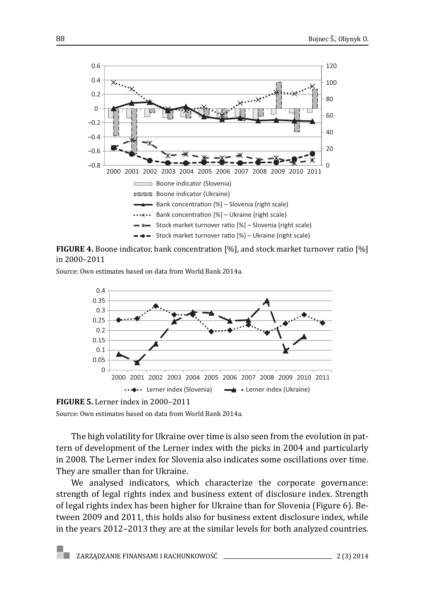

**FIGURE 4.** Boone indicator, bank concentration [%], and stock market turnover ratio [%] in 2000–2011

Source: Own estimates based on data from World Bank 2014a.



**FIGURE 5.** Lerner index in 2000–2011

Source: Own estimates based on data from World Bank 2014a.

The high volatility for Ukraine over time is also seen from the evolution in pattern of development of the Lerner index with the picks in 2004 and particularly in 2008. The Lerner index for Slovenia also indicates some oscillations over time. They are smaller than for Ukraine.

We analysed indicators, which characterize the corporate governance: strength of legal rights index and business extent of disclosure index. Strength of legal rights index has been higher for Ukraine than for Slovenia (Figure 6). Between 2009 and 2011, this holds also for business extent disclosure index, while in the years 2012–2013 they are at the similar levels for both analyzed countries.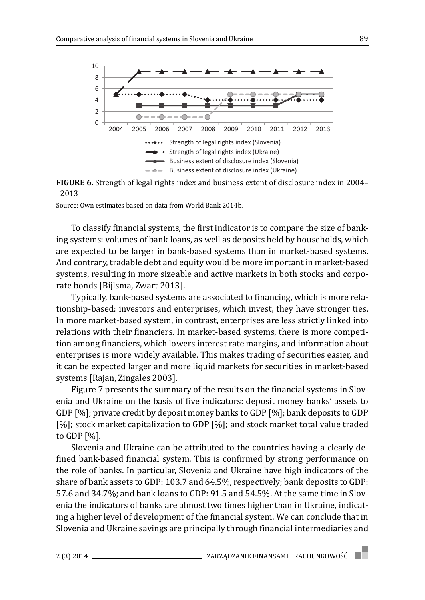

**FIGURE 6.** Strength of legal rights index and business extent of disclosure index in 2004– –2013

Source: Own estimates based on data from World Bank 2014b.

To classify financial systems, the first indicator is to compare the size of banking systems: volumes of bank loans, as well as deposits held by households, which are expected to be larger in bank-based systems than in market-based systems. And contrary, tradable debt and equity would be more important in market-based systems, resulting in more sizeable and active markets in both stocks and corporate bonds [Bijlsma, Zwart 2013].

Typically, bank-based systems are associated to financing, which is more relationship-based: investors and enterprises, which invest, they have stronger ties. In more market-based system, in contrast, enterprises are less strictly linked into relations with their financiers. In market-based systems, there is more competition among financiers, which lowers interest rate margins, and information about enterprises is more widely available. This makes trading of securities easier, and it can be expected larger and more liquid markets for securities in market-based systems [Rajan, Zingales 2003].

Figure 7 presents the summary of the results on the financial systems in Slovenia and Ukraine on the basis of five indicators: deposit money banks' assets to GDP [%]; private credit by deposit money banks to GDP [%]; bank deposits to GDP [%]; stock market capitalization to GDP [%]; and stock market total value traded to GDP [%].

Slovenia and Ukraine can be attributed to the countries having a clearly defined bank-based financial system. This is confirmed by strong performance on the role of banks. In particular, Slovenia and Ukraine have high indicators of the share of bank assets to GDP: 103.7 and 64.5%, respectively; bank deposits to GDP: 57.6 and 34.7%; and bank loans to GDP: 91.5 and 54.5%. At the same time in Slovenia the indicators of banks are almost two times higher than in Ukraine, indicating a higher level of development of the financial system. We can conclude that in Slovenia and Ukraine savings are principally through financial intermediaries and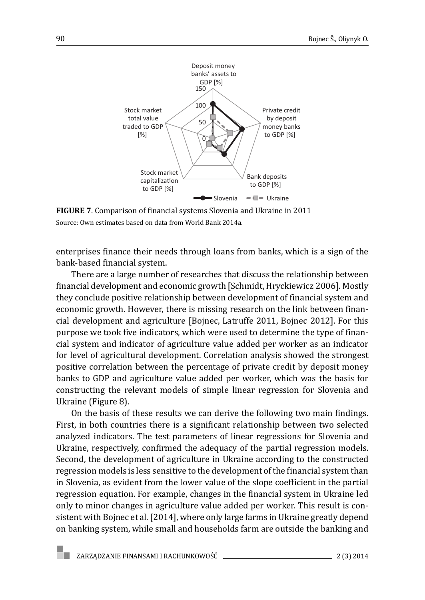

**FIGURE 7**. Comparison of financial systems Slovenia and Ukraine in 2011 Source: Own estimates based on data from World Bank 2014a.

enterprises finance their needs through loans from banks, which is a sign of the bank-based financial system.

There are a large number of researches that discuss the relationship between financial development and economic growth [Schmidt, Hryckiewicz 2006]. Mostly they conclude positive relationship between development of financial system and economic growth. However, there is missing research on the link between financial development and agriculture [Bojnec, Latruffe 2011, Bojnec 2012]. For this purpose we took five indicators, which were used to determine the type of financial system and indicator of agriculture value added per worker as an indicator for level of agricultural development. Correlation analysis showed the strongest positive correlation between the percentage of private credit by deposit money banks to GDP and agriculture value added per worker, which was the basis for constructing the relevant models of simple linear regression for Slovenia and Ukraine (Figure 8).

On the basis of these results we can derive the following two main findings. First, in both countries there is a significant relationship between two selected analyzed indicators. The test parameters of linear regressions for Slovenia and Ukraine, respectively, confirmed the adequacy of the partial regression models. Second, the development of agriculture in Ukraine according to the constructed regression models is less sensitive to the development of the financial system than in Slovenia, as evident from the lower value of the slope coefficient in the partial regression equation. For example, changes in the financial system in Ukraine led only to minor changes in agriculture value added per worker. This result is consistent with Bojnec et al. [2014], where only large farms in Ukraine greatly depend on banking system, while small and households farm are outside the banking and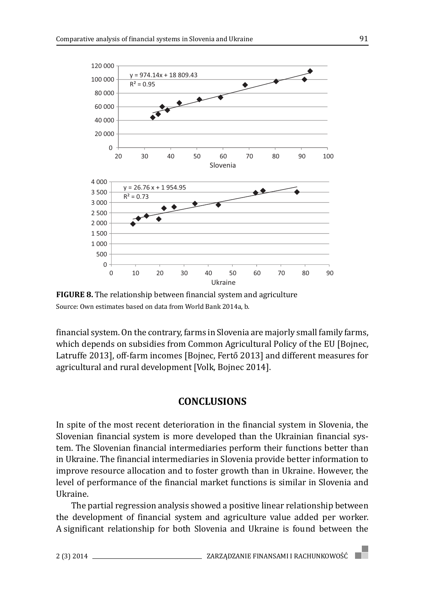

**FIGURE 8.** The relationship between financial system and agriculture Source: Own estimates based on data from World Bank 2014a, b.

 financial system. On the contrary, farms in Slovenia are majorly small family farms, which depends on subsidies from Common Agricultural Policy of the EU [Bojnec, Latruffe 2013], off-farm incomes [Bojnec, Fertő 2013] and different measures for agricultural and rural development [Volk, Bojnec 2014].

#### **CONCLUSIONS**

In spite of the most recent deterioration in the financial system in Slovenia, the Slovenian financial system is more developed than the Ukrainian financial system. The Slovenian financial intermediaries perform their functions better than in Ukraine. The financial intermediaries in Slovenia provide better information to improve resource allocation and to foster growth than in Ukraine. However, the level of performance of the financial market functions is similar in Slovenia and Ukraine.

The partial regression analysis showed a positive linear relationship between the development of financial system and agriculture value added per worker. A significant relationship for both Slovenia and Ukraine is found between the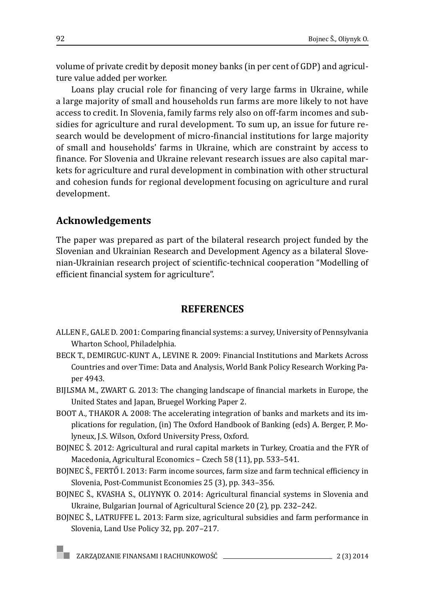volume of private credit by deposit money banks (in per cent of GDP) and agriculture value added per worker.

Loans play crucial role for financing of very large farms in Ukraine, while a large majority of small and households run farms are more likely to not have access to credit. In Slovenia, family farms rely also on off-farm incomes and subsidies for agriculture and rural development. To sum up, an issue for future research would be development of micro-financial institutions for large majority of small and households' farms in Ukraine, which are constraint by access to finance. For Slovenia and Ukraine relevant research issues are also capital markets for agriculture and rural development in combination with other structural and cohesion funds for regional development focusing on agriculture and rural development.

## **Acknowledgements**

The paper was prepared as part of the bilateral research project funded by the Slovenian and Ukrainian Research and Development Agency as a bilateral Slovenian-Ukrainian research project of scientific-technical cooperation "Modelling of efficient financial system for agriculture".

## **REFERENCES**

- ALLEN F., GALE D. 2001: Comparing financial systems: a survey, University of Pennsylvania Wharton School, Philadelphia.
- BECK T., DEMIRGUC-KUNT A., LEVINE R. 2009: Financial Institutions and Markets Across Countries and over Time: Data and Analysis, World Bank Policy Research Working Paper 4943.
- BIJLSMA M., ZWART G. 2013: The changing landscape of financial markets in Europe, the United States and Japan, Bruegel Working Paper 2.
- BOOT A., THAKOR A. 2008: The accelerating integration of banks and markets and its implications for regulation, (in) The Oxford Handbook of Banking (eds) A. Berger, P. Molyneux, J.S. Wilson, Oxford University Press, Oxford.
- BOJNEC Š. 2012: Agricultural and rural capital markets in Turkey, Croatia and the FYR of Macedonia, Agricultural Economics – Czech 58 (11), pp. 533–541.
- BOJNEC Š., FERTŐ I. 2013: Farm income sources, farm size and farm technical efficiency in Slovenia, Post-Communist Economies 25 (3), pp. 343–356.
- BOJNEC Š., KVASHA S., OLIYNYK O. 2014: Agricultural financial systems in Slovenia and Ukraine, Bulgarian Journal of Agricultural Science 20 (2), pp. 232–242.
- BOJNEC Š., LATRUFFE L. 2013: Farm size, agricultural subsidies and farm performance in Slovenia, Land Use Policy 32, pp. 207–217.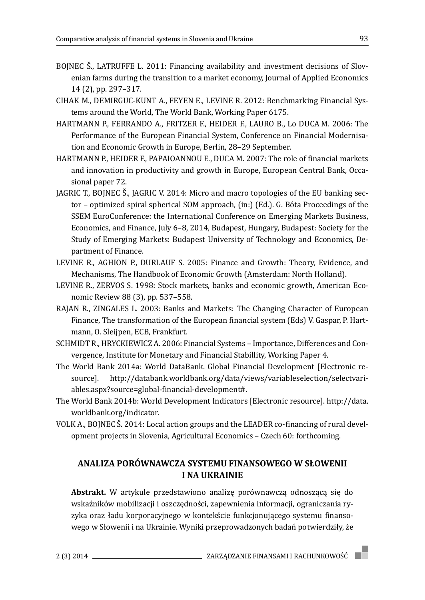- BOJNEC Š., LATRUFFE L. 2011: Financing availability and investment decisions of Slovenian farms during the transition to a market economy, Journal of Applied Economics 14 (2), pp. 297–317.
- CIHAK M., DEMIRGUC-KUNT A., FEYEN E., LEVINE R. 2012: Benchmarking Financial Systems around the World, The World Bank, Working Paper 6175.
- HARTMANN P., FERRANDO A., FRITZER F., HEIDER F., LAURO B., Lo DUCA M. 2006: The Performance of the European Financial System, Conference on Financial Modernisation and Economic Growth in Europe, Berlin, 28–29 September.
- HARTMANN P., HEIDER F., PAPAIOANNOU E., DUCA M. 2007: The role of financial markets and innovation in productivity and growth in Europe, European Central Bank, Occasional paper 72.
- JAGRIC T., BOJNEC Š., JAGRIC V. 2014: Micro and macro topologies of the EU banking sector – optimized spiral spherical SOM approach, (in:) (Ed.). G. Bóta Proceedings of the SSEM EuroConference: the International Conference on Emerging Markets Business, Economics, and Finance, July 6–8, 2014, Budapest, Hungary, Budapest: Society for the Study of Emerging Markets: Budapest University of Technology and Economics, Department of Finance.
- LEVINE R., AGHION P., DURLAUF S. 2005: Finance and Growth: Theory, Evidence, and Mechanisms, The Handbook of Economic Growth (Amsterdam: North Holland).
- LEVINE R., ZERVOS S. 1998: Stock markets, banks and economic growth, American Economic Review 88 (3), pp. 537–558.
- RAJAN R., ZINGALES L. 2003: Banks and Markets: The Changing Character of European Finance, The transformation of the European financial system (Eds) V. Gaspar, P. Hartmann, O. Sleijpen, ECB, Frankfurt.
- SCHMIDT R., HRYCKIEWICZ A. 2006: Financial Systems Importance, Differences and Convergence, Institute for Monetary and Financial Stabillity, Working Paper 4.
- The World Bank 2014a: World DataBank. Global Financial Development [Electronic resource]. http://databank.worldbank.org/data/views/variableselection/selectvariables.aspx?source=global-financial-development#.
- The World Bank 2014b: World Development Indicators [Electronic resource]. http://data. worldbank.org/indicator.
- VOLK A., BOJNEC Š. 2014: Local action groups and the LEADER co-financing of rural development projects in Slovenia, Agricultural Economics – Czech 60: forthcoming.

#### **ANALIZA PORÓWNAWCZA SYSTEMU FINANSOWEGO W SŁOWENII I NA UKRAINIE**

**Abstrakt.** W artykule przedstawiono analizę porównawczą odnoszącą się do wskaźników mobilizacji i oszczędności, zapewnienia informacji, ograniczania ryzyka oraz ładu korporacyjnego w kontekście funkcjonującego systemu finansowego w Słowenii i na Ukrainie. Wyniki przeprowadzonych badań potwierdziły, że